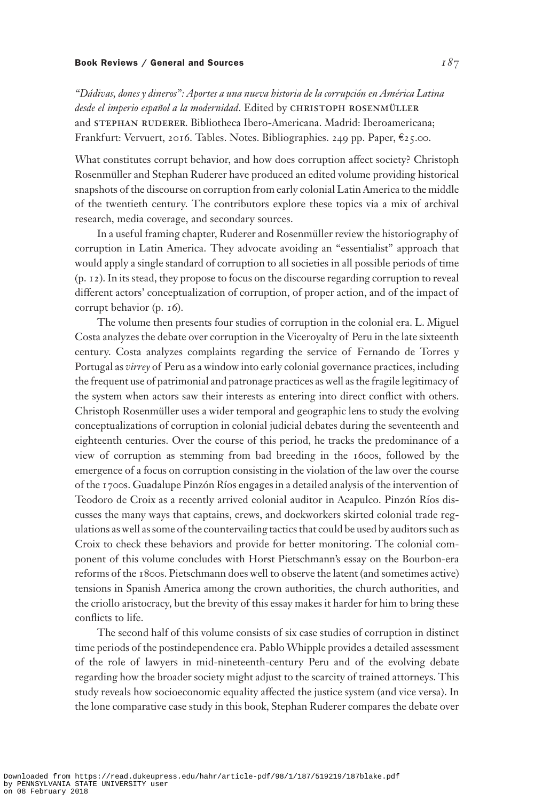## Book Reviews / General and Sources  $I\, \mathcal{S} \tau$

"Dádivas, dones y dineros": Aportes a una nueva historia de la corrupción en América Latina desde el imperio español a la modernidad. Edited by CHRISTOPH ROSENMÜLLER and STEPHAN RUDERER. Bibliotheca Ibero-Americana. Madrid: Iberoamericana; Frankfurt: Vervuert, 2016. Tables. Notes. Bibliographies. 249 pp. Paper,  $\epsilon$ 25.00.

What constitutes corrupt behavior, and how does corruption affect society? Christoph Rosenmüller and Stephan Ruderer have produced an edited volume providing historical snapshots of the discourse on corruption from early colonial Latin America to the middle of the twentieth century. The contributors explore these topics via a mix of archival research, media coverage, and secondary sources.

In a useful framing chapter, Ruderer and Rosenmüller review the historiography of corruption in Latin America. They advocate avoiding an "essentialist" approach that would apply a single standard of corruption to all societies in all possible periods of time (p. 12). In its stead, they propose to focus on the discourse regarding corruption to reveal different actors' conceptualization of corruption, of proper action, and of the impact of corrupt behavior (p. 16).

The volume then presents four studies of corruption in the colonial era. L. Miguel Costa analyzes the debate over corruption in the Viceroyalty of Peru in the late sixteenth century. Costa analyzes complaints regarding the service of Fernando de Torres y Portugal as virrey of Peru as a window into early colonial governance practices, including the frequent use of patrimonial and patronage practices as well as the fragile legitimacy of the system when actors saw their interests as entering into direct conflict with others. Christoph Rosenmüller uses a wider temporal and geographic lens to study the evolving conceptualizations of corruption in colonial judicial debates during the seventeenth and eighteenth centuries. Over the course of this period, he tracks the predominance of a view of corruption as stemming from bad breeding in the 1600s, followed by the emergence of a focus on corruption consisting in the violation of the law over the course of the 1700s. Guadalupe Pinzón Ríos engages in a detailed analysis of the intervention of Teodoro de Croix as a recently arrived colonial auditor in Acapulco. Pinzón Ríos discusses the many ways that captains, crews, and dockworkers skirted colonial trade regulations as well as some ofthe countervailing tactics that could be used by auditors such as Croix to check these behaviors and provide for better monitoring. The colonial component of this volume concludes with Horst Pietschmann's essay on the Bourbon-era reforms of the 1800s. Pietschmann does well to observe the latent (and sometimes active) tensions in Spanish America among the crown authorities, the church authorities, and the criollo aristocracy, but the brevity of this essay makes it harder for him to bring these conflicts to life.

The second half of this volume consists of six case studies of corruption in distinct time periods of the postindependence era. Pablo Whipple provides a detailed assessment of the role of lawyers in mid-nineteenth-century Peru and of the evolving debate regarding how the broader society might adjust to the scarcity of trained attorneys. This study reveals how socioeconomic equality affected the justice system (and vice versa). In the lone comparative case study in this book, Stephan Ruderer compares the debate over